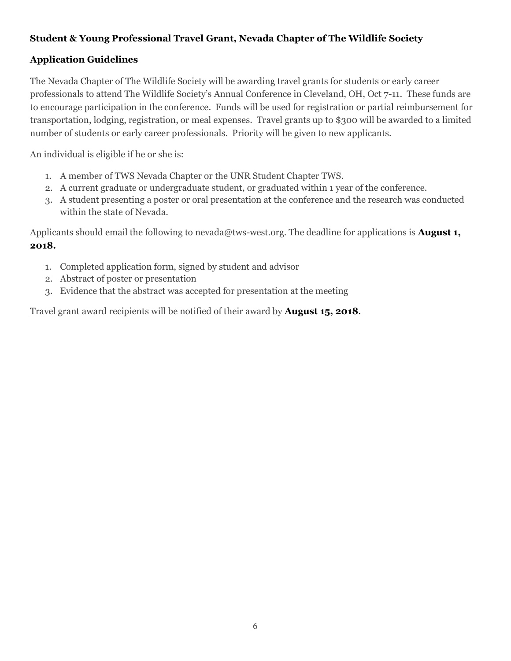## Student & Young Professional Travel Grant, Nevada Chapter of The Wildlife Society

## Application Guidelines

The Nevada Chapter of The Wildlife Society will be awarding travel grants for students or early career professionals to attend The Wildlife Society's Annual Conference in Cleveland, OH, Oct 7-11. These funds are to encourage participation in the conference. Funds will be used for registration or partial reimbursement for transportation, lodging, registration, or meal expenses. Travel grants up to \$300 will be awarded to a limited number of students or early career professionals. Priority will be given to new applicants.

An individual is eligible if he or she is:

- 1. A member of TWS Nevada Chapter or the UNR Student Chapter TWS.
- 2. A current graduate or undergraduate student, or graduated within 1 year of the conference.
- 3. A student presenting a poster or oral presentation at the conference and the research was conducted within the state of Nevada.

Applicants should email the following to nevada@tws-west.org. The deadline for applications is **August 1,** 2018.

- 1. Completed application form, signed by student and advisor
- 2. Abstract of poster or presentation
- 3. Evidence that the abstract was accepted for presentation at the meeting

Travel grant award recipients will be notified of their award by **August 15, 2018.**